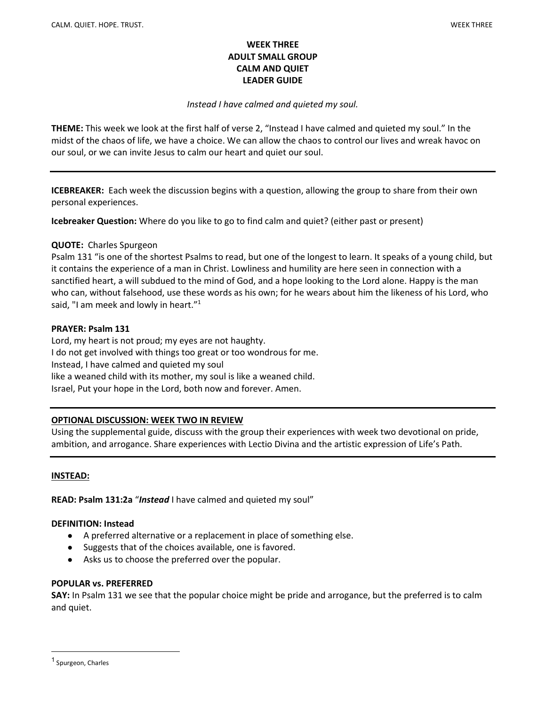### WEEK THREE ADULT SMALL GROUP CALM AND QUIET LEADER GUIDE

### Instead I have calmed and quieted my soul.

THEME: This week we look at the first half of verse 2, "Instead I have calmed and quieted my soul." In the midst of the chaos of life, we have a choice. We can allow the chaos to control our lives and wreak havoc on our soul, or we can invite Jesus to calm our heart and quiet our soul.

ICEBREAKER: Each week the discussion begins with a question, allowing the group to share from their own personal experiences.

Icebreaker Question: Where do you like to go to find calm and quiet? (either past or present)

#### QUOTE: Charles Spurgeon

Psalm 131 "is one of the shortest Psalms to read, but one of the longest to learn. It speaks of a young child, but it contains the experience of a man in Christ. Lowliness and humility are here seen in connection with a sanctified heart, a will subdued to the mind of God, and a hope looking to the Lord alone. Happy is the man who can, without falsehood, use these words as his own; for he wears about him the likeness of his Lord, who said, "I am meek and lowly in heart."<sup>1</sup>

### PRAYER: Psalm 131

Lord, my heart is not proud; my eyes are not haughty. I do not get involved with things too great or too wondrous for me. Instead, I have calmed and quieted my soul like a weaned child with its mother, my soul is like a weaned child. Israel, Put your hope in the Lord, both now and forever. Amen.

#### OPTIONAL DISCUSSION: WEEK TWO IN REVIEW

Using the supplemental guide, discuss with the group their experiences with week two devotional on pride, ambition, and arrogance. Share experiences with Lectio Divina and the artistic expression of Life's Path.

#### INSTEAD:

READ: Psalm 131:2a "Instead I have calmed and quieted my soul"

#### DEFINITION: Instead

- A preferred alternative or a replacement in place of something else.
- Suggests that of the choices available, one is favored.
- Asks us to choose the preferred over the popular.

#### POPULAR vs. PREFERRED

SAY: In Psalm 131 we see that the popular choice might be pride and arrogance, but the preferred is to calm and quiet.

<sup>1</sup> Spurgeon, Charles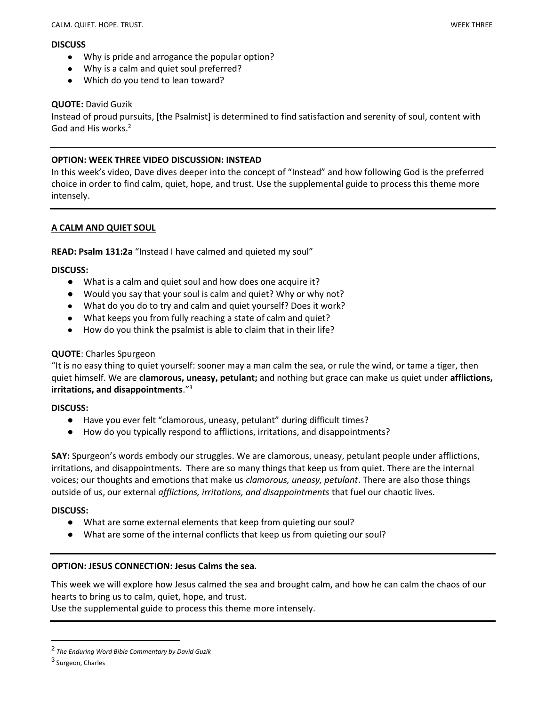#### **DISCUSS**

- Why is pride and arrogance the popular option?
- Why is a calm and quiet soul preferred?
- Which do you tend to lean toward?

## QUOTE: David Guzik

Instead of proud pursuits, [the Psalmist] is determined to find satisfaction and serenity of soul, content with God and His works.<sup>2</sup>

## OPTION: WEEK THREE VIDEO DISCUSSION: INSTEAD

In this week's video, Dave dives deeper into the concept of "Instead" and how following God is the preferred choice in order to find calm, quiet, hope, and trust. Use the supplemental guide to process this theme more intensely.

# A CALM AND QUIET SOUL

#### READ: Psalm 131:2a "Instead I have calmed and quieted my soul"

#### DISCUSS:

- What is a calm and quiet soul and how does one acquire it?
- Would you say that your soul is calm and quiet? Why or why not?
- What do you do to try and calm and quiet yourself? Does it work?
- What keeps you from fully reaching a state of calm and quiet?
- How do you think the psalmist is able to claim that in their life?

## QUOTE: Charles Spurgeon

"It is no easy thing to quiet yourself: sooner may a man calm the sea, or rule the wind, or tame a tiger, then quiet himself. We are **clamorous, uneasy, petulant;** and nothing but grace can make us quiet under **afflictions,** irritations, and disappointments."<sup>3</sup>

#### DISCUSS:

- Have you ever felt "clamorous, uneasy, petulant" during difficult times?
- How do you typically respond to afflictions, irritations, and disappointments?

SAY: Spurgeon's words embody our struggles. We are clamorous, uneasy, petulant people under afflictions, irritations, and disappointments. There are so many things that keep us from quiet. There are the internal voices; our thoughts and emotions that make us clamorous, uneasy, petulant. There are also those things outside of us, our external afflictions, irritations, and disappointments that fuel our chaotic lives.

#### DISCUSS:

- What are some external elements that keep from quieting our soul?
- What are some of the internal conflicts that keep us from quieting our soul?

#### OPTION: JESUS CONNECTION: Jesus Calms the sea.

This week we will explore how Jesus calmed the sea and brought calm, and how he can calm the chaos of our hearts to bring us to calm, quiet, hope, and trust.

Use the supplemental guide to process this theme more intensely.

 $^{\text{2}}$  The Enduring Word Bible Commentary by David Guzik

<sup>&</sup>lt;sup>3</sup> Surgeon, Charles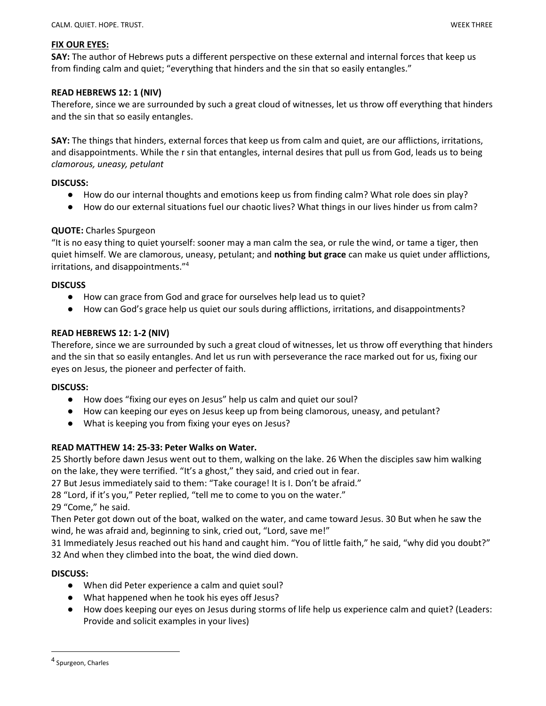#### FIX OUR EYES:

SAY: The author of Hebrews puts a different perspective on these external and internal forces that keep us from finding calm and quiet; "everything that hinders and the sin that so easily entangles."

### READ HEBREWS 12: 1 (NIV)

Therefore, since we are surrounded by such a great cloud of witnesses, let us throw off everything that hinders and the sin that so easily entangles.

SAY: The things that hinders, external forces that keep us from calm and quiet, are our afflictions, irritations, and disappointments. While the r sin that entangles, internal desires that pull us from God, leads us to being clamorous, uneasy, petulant

#### DISCUSS:

- How do our internal thoughts and emotions keep us from finding calm? What role does sin play?
- How do our external situations fuel our chaotic lives? What things in our lives hinder us from calm?

# QUOTE: Charles Spurgeon

"It is no easy thing to quiet yourself: sooner may a man calm the sea, or rule the wind, or tame a tiger, then quiet himself. We are clamorous, uneasy, petulant; and nothing but grace can make us quiet under afflictions, irritations, and disappointments."<sup>4</sup>

#### **DISCUSS**

- How can grace from God and grace for ourselves help lead us to quiet?
- How can God's grace help us quiet our souls during afflictions, irritations, and disappointments?

### READ HEBREWS 12: 1-2 (NIV)

Therefore, since we are surrounded by such a great cloud of witnesses, let us throw off everything that hinders and the sin that so easily entangles. And let us run with perseverance the race marked out for us, fixing our eyes on Jesus, the pioneer and perfecter of faith.

#### DISCUSS:

- How does "fixing our eyes on Jesus" help us calm and quiet our soul?
- How can keeping our eyes on Jesus keep up from being clamorous, uneasy, and petulant?
- What is keeping you from fixing your eyes on Jesus?

#### READ MATTHEW 14: 25-33: Peter Walks on Water.

25 Shortly before dawn Jesus went out to them, walking on the lake. 26 When the disciples saw him walking on the lake, they were terrified. "It's a ghost," they said, and cried out in fear.

27 But Jesus immediately said to them: "Take courage! It is I. Don't be afraid."

28 "Lord, if it's you," Peter replied, "tell me to come to you on the water."

29 "Come," he said.

Then Peter got down out of the boat, walked on the water, and came toward Jesus. 30 But when he saw the wind, he was afraid and, beginning to sink, cried out, "Lord, save me!"

31 Immediately Jesus reached out his hand and caught him. "You of little faith," he said, "why did you doubt?" 32 And when they climbed into the boat, the wind died down.

#### DISCUSS:

- When did Peter experience a calm and quiet soul?
- What happened when he took his eyes off Jesus?
- How does keeping our eyes on Jesus during storms of life help us experience calm and quiet? (Leaders: Provide and solicit examples in your lives)

<sup>4</sup> Spurgeon, Charles